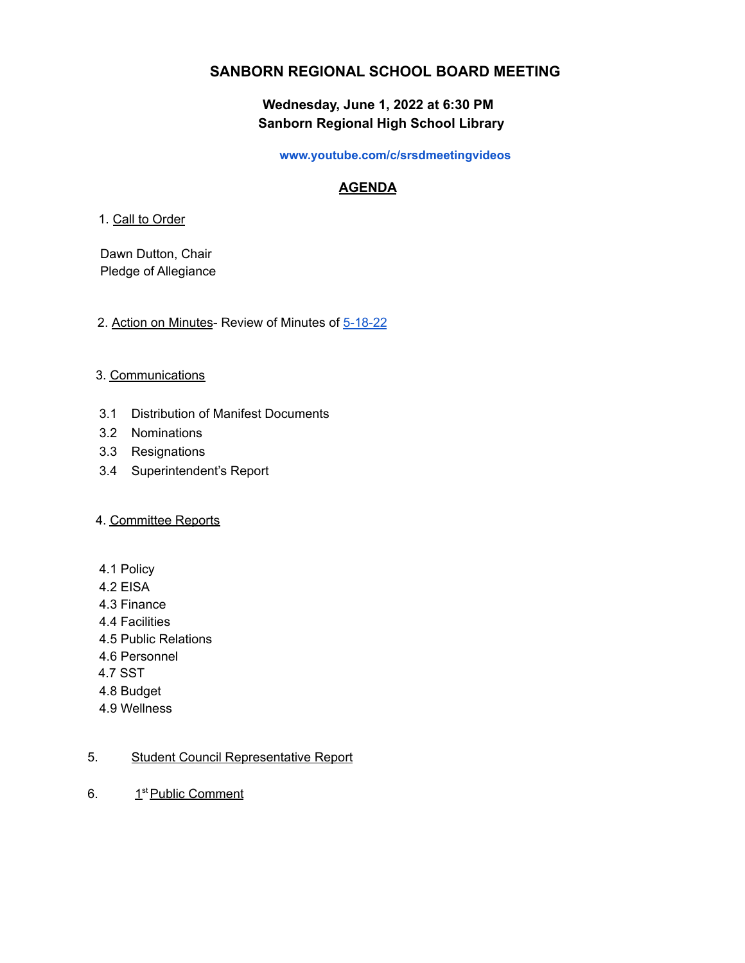# **SANBORN REGIONAL SCHOOL BOARD MEETING**

# **Wednesday, June 1, 2022 at 6:30 PM Sanborn Regional High School Library**

#### **www.youtube.com/c/srsdmeetingvideos**

# **AGENDA**

### 1. Call to Order

Dawn Dutton, Chair Pledge of Allegiance

## 2. Action on Minutes- Review of Minutes of [5-18-22](https://drive.google.com/file/d/1utCGL9AzMj5GpRFsgTEUZhvF0bsAgoaY/view?usp=sharing)

## 3. Communications

- 3.1 Distribution of Manifest Documents
- 3.2 Nominations
- 3.3 Resignations
- 3.4 Superintendent's Report

#### 4. Committee Reports

- 4.1 Policy
- 4.2 EISA
- 4.3 Finance
- 4.4 Facilities
- 4.5 Public Relations
- 4.6 Personnel
- 4.7 SST
- 4.8 Budget
- 4.9 Wellness

# 5. Student Council Representative Report

6. 1<sup>st</sup> Public Comment